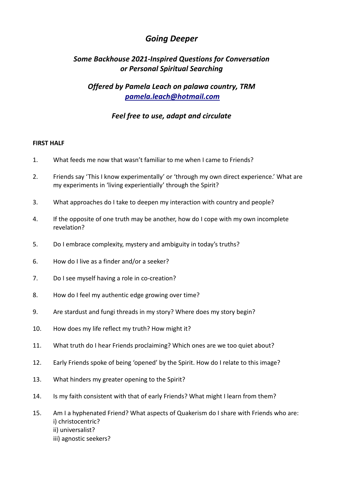# *Going Deeper*

# *Some Backhouse 2021-Inspired Questions for Conversation or Personal Spiritual Searching*

## *Offered by Pamela Leach on palawa country, TRM pamela.leach@hotmail.com*

### *Feel free to use, adapt and circulate*

#### **FIRST HALF**

- 1. What feeds me now that wasn't familiar to me when I came to Friends?
- 2. Friends say 'This I know experimentally' or 'through my own direct experience.' What are my experiments in 'living experientially' through the Spirit?
- 3. What approaches do I take to deepen my interaction with country and people?
- 4. If the opposite of one truth may be another, how do I cope with my own incomplete revelation?
- 5. Do I embrace complexity, mystery and ambiguity in today's truths?
- 6. How do I live as a finder and/or a seeker?
- 7. Do I see myself having a role in co-creation?
- 8. How do I feel my authentic edge growing over time?
- 9. Are stardust and fungi threads in my story? Where does my story begin?
- 10. How does my life reflect my truth? How might it?
- 11. What truth do I hear Friends proclaiming? Which ones are we too quiet about?
- 12. Early Friends spoke of being 'opened' by the Spirit. How do I relate to this image?
- 13. What hinders my greater opening to the Spirit?
- 14. Is my faith consistent with that of early Friends? What might I learn from them?
- 15. Am I a hyphenated Friend? What aspects of Quakerism do I share with Friends who are: i) christocentric? ii) universalist? iii) agnostic seekers?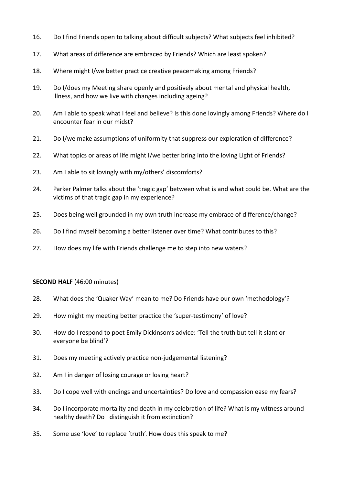- 16. Do I find Friends open to talking about difficult subjects? What subjects feel inhibited?
- 17. What areas of difference are embraced by Friends? Which are least spoken?
- 18. Where might I/we better practice creative peacemaking among Friends?
- 19. Do I/does my Meeting share openly and positively about mental and physical health, illness, and how we live with changes including ageing?
- 20. Am I able to speak what I feel and believe? Is this done lovingly among Friends? Where do I encounter fear in our midst?
- 21. Do I/we make assumptions of uniformity that suppress our exploration of difference?
- 22. What topics or areas of life might I/we better bring into the loving Light of Friends?
- 23. Am I able to sit lovingly with my/others' discomforts?
- 24. Parker Palmer talks about the 'tragic gap' between what is and what could be. What are the victims of that tragic gap in my experience?
- 25. Does being well grounded in my own truth increase my embrace of difference/change?
- 26. Do I find myself becoming a better listener over time? What contributes to this?
- 27. How does my life with Friends challenge me to step into new waters?

#### **SECOND HALF** (46:00 minutes)

- 28. What does the 'Quaker Way' mean to me? Do Friends have our own 'methodology'?
- 29. How might my meeting better practice the 'super-testimony' of love?
- 30. How do I respond to poet Emily Dickinson's advice: 'Tell the truth but tell it slant or everyone be blind'?
- 31. Does my meeting actively practice non-judgemental listening?
- 32. Am I in danger of losing courage or losing heart?
- 33. Do I cope well with endings and uncertainties? Do love and compassion ease my fears?
- 34. Do I incorporate mortality and death in my celebration of life? What is my witness around healthy death? Do I distinguish it from extinction?
- 35. Some use 'love' to replace 'truth'. How does this speak to me?